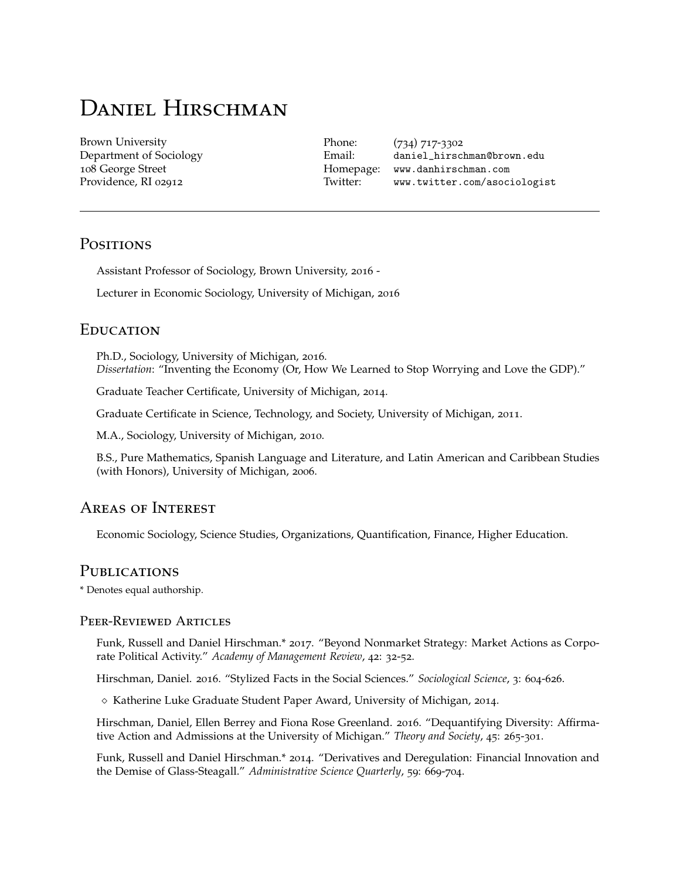# DANIEL HIRSCHMAN

Brown University Department of Sociology 108 George Street Providence, RI 02912

Phone: (734) 717-3302 Email: [daniel\\_hirschman@brown.edu](mailto:daniel_hirschman@brown.edu) Homepage: [www.danhirschman.com](http://danhirschman.com/) Twitter: [www.twitter.com/asociologist](http://twitter.com/asociologist)

## **POSITIONS**

Assistant Professor of Sociology, Brown University, 2016 -

Lecturer in Economic Sociology, University of Michigan, 2016

## **EDUCATION**

Ph.D., Sociology, University of Michigan, 2016. *Dissertation*: "Inventing the Economy (Or, How We Learned to Stop Worrying and Love the GDP)."

Graduate Teacher Certificate, University of Michigan, 2014.

Graduate Certificate in Science, Technology, and Society, University of Michigan, 2011.

M.A., Sociology, University of Michigan, 2010.

B.S., Pure Mathematics, Spanish Language and Literature, and Latin American and Caribbean Studies (with Honors), University of Michigan, 2006.

## Areas of Interest

Economic Sociology, Science Studies, Organizations, Quantification, Finance, Higher Education.

## **PUBLICATIONS**

\* Denotes equal authorship.

#### Peer-Reviewed Articles

Funk, Russell and Daniel Hirschman.\* 2017. "Beyond Nonmarket Strategy: Market Actions as Corporate Political Activity." *Academy of Management Review*, 42: 32-52.

Hirschman, Daniel. 2016. "Stylized Facts in the Social Sciences." *Sociological Science*, 3: 604-626.

 $\diamond$  Katherine Luke Graduate Student Paper Award, University of Michigan, 2014.

Hirschman, Daniel, Ellen Berrey and Fiona Rose Greenland. 2016. "Dequantifying Diversity: Affirmative Action and Admissions at the University of Michigan." *Theory and Society*, 45: 265-301.

Funk, Russell and Daniel Hirschman.\* 2014. "Derivatives and Deregulation: Financial Innovation and the Demise of Glass-Steagall." *Administrative Science Quarterly*, 59: 669-704.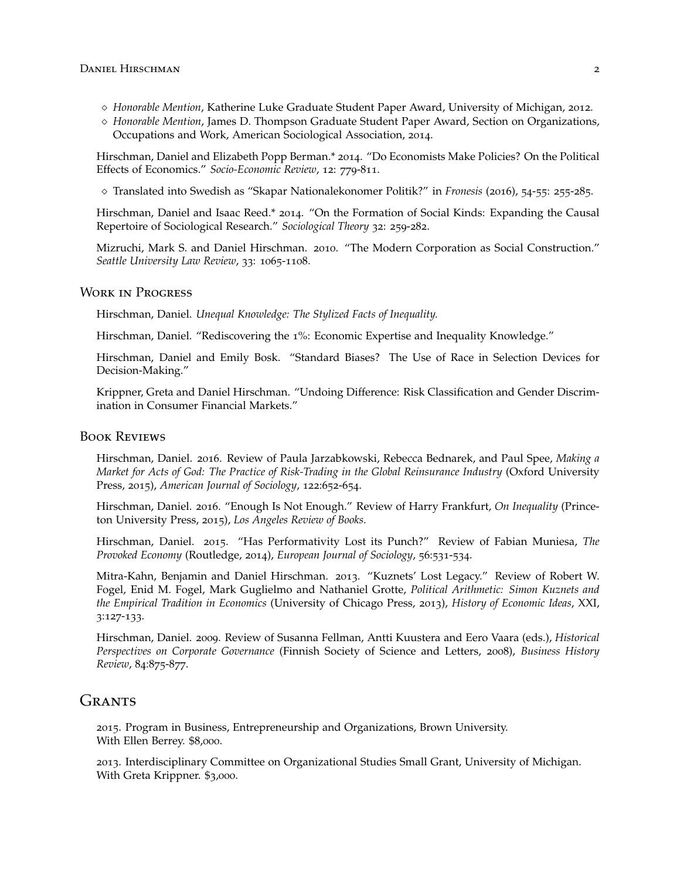- *Honorable Mention*, Katherine Luke Graduate Student Paper Award, University of Michigan, 2012.
- *Honorable Mention*, James D. Thompson Graduate Student Paper Award, Section on Organizations, Occupations and Work, American Sociological Association, 2014.

Hirschman, Daniel and Elizabeth Popp Berman.\* 2014. "Do Economists Make Policies? On the Political Effects of Economics." *Socio-Economic Review*, 12: 779-811.

Translated into Swedish as "Skapar Nationalekonomer Politik?" in *Fronesis* (2016), 54-55: 255-285.

Hirschman, Daniel and Isaac Reed.\* 2014. "On the Formation of Social Kinds: Expanding the Causal Repertoire of Sociological Research." *Sociological Theory* 32: 259-282.

Mizruchi, Mark S. and Daniel Hirschman. 2010. "The Modern Corporation as Social Construction." *Seattle University Law Review*, 33: 1065-1108.

#### Work in Progress

Hirschman, Daniel. *Unequal Knowledge: The Stylized Facts of Inequality.*

Hirschman, Daniel. "Rediscovering the 1%: Economic Expertise and Inequality Knowledge."

Hirschman, Daniel and Emily Bosk. "Standard Biases? The Use of Race in Selection Devices for Decision-Making."

Krippner, Greta and Daniel Hirschman. "Undoing Difference: Risk Classification and Gender Discrimination in Consumer Financial Markets."

#### Book Reviews

Hirschman, Daniel. 2016. Review of Paula Jarzabkowski, Rebecca Bednarek, and Paul Spee, *Making a Market for Acts of God: The Practice of Risk-Trading in the Global Reinsurance Industry* (Oxford University Press, 2015), *American Journal of Sociology*, 122:652-654.

Hirschman, Daniel. 2016. "Enough Is Not Enough." Review of Harry Frankfurt, *On Inequality* (Princeton University Press, 2015), *[Los Angeles Review of Books](https://lareviewofbooks.org/article/enough-is-not-enough-on-harry-frankfurts-on-inequality/)*.

Hirschman, Daniel. 2015. "Has Performativity Lost its Punch?" Review of Fabian Muniesa, *The Provoked Economy* (Routledge, 2014), *European Journal of Sociology*, 56:531-534.

Mitra-Kahn, Benjamin and Daniel Hirschman. 2013. "Kuznets' Lost Legacy." Review of Robert W. Fogel, Enid M. Fogel, Mark Guglielmo and Nathaniel Grotte, *Political Arithmetic: Simon Kuznets and the Empirical Tradition in Economics* (University of Chicago Press, 2013), *History of Economic Ideas*, XXI, 3:127-133.

Hirschman, Daniel. 2009. Review of Susanna Fellman, Antti Kuustera and Eero Vaara (eds.), *Historical Perspectives on Corporate Governance* (Finnish Society of Science and Letters, 2008), *Business History Review*, 84:875-877.

### GRANTS

2015. Program in Business, Entrepreneurship and Organizations, Brown University. With Ellen Berrey. \$8,000.

2013. Interdisciplinary Committee on Organizational Studies Small Grant, University of Michigan. With Greta Krippner. \$3,000.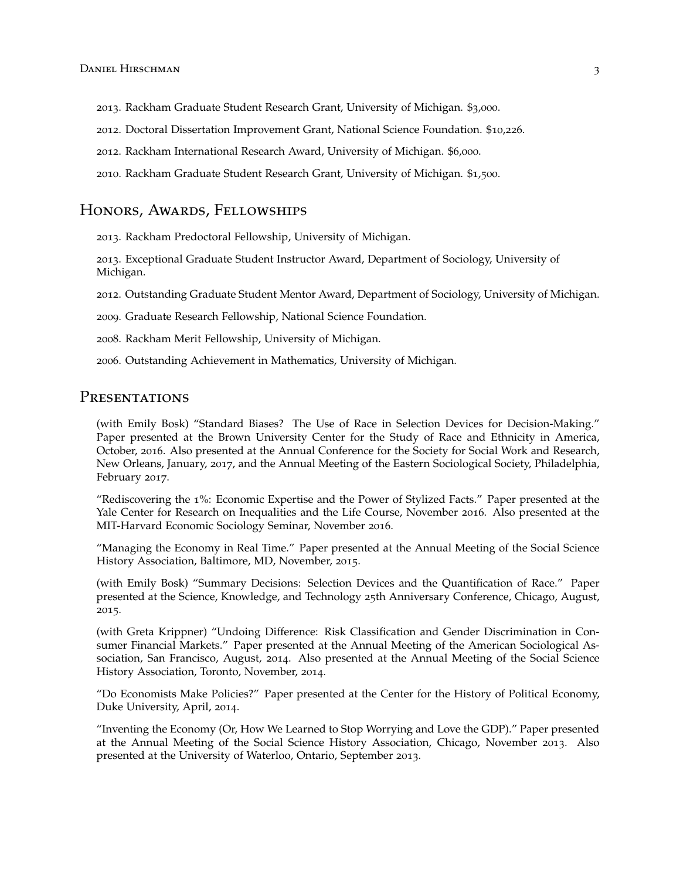- 2013. Rackham Graduate Student Research Grant, University of Michigan. \$3,000.
- 2012. Doctoral Dissertation Improvement Grant, National Science Foundation. \$10,226.
- 2012. Rackham International Research Award, University of Michigan. \$6,000.
- 2010. Rackham Graduate Student Research Grant, University of Michigan. \$1,500.

## Honors, Awards, Fellowships

2013. Rackham Predoctoral Fellowship, University of Michigan.

2013. Exceptional Graduate Student Instructor Award, Department of Sociology, University of Michigan.

2012. Outstanding Graduate Student Mentor Award, Department of Sociology, University of Michigan.

2009. Graduate Research Fellowship, National Science Foundation.

2008. Rackham Merit Fellowship, University of Michigan.

2006. Outstanding Achievement in Mathematics, University of Michigan.

# **PRESENTATIONS**

(with Emily Bosk) "Standard Biases? The Use of Race in Selection Devices for Decision-Making." Paper presented at the Brown University Center for the Study of Race and Ethnicity in America, October, 2016. Also presented at the Annual Conference for the Society for Social Work and Research, New Orleans, January, 2017, and the Annual Meeting of the Eastern Sociological Society, Philadelphia, February 2017.

"Rediscovering the 1%: Economic Expertise and the Power of Stylized Facts." Paper presented at the Yale Center for Research on Inequalities and the Life Course, November 2016. Also presented at the MIT-Harvard Economic Sociology Seminar, November 2016.

"Managing the Economy in Real Time." Paper presented at the Annual Meeting of the Social Science History Association, Baltimore, MD, November, 2015.

(with Emily Bosk) "Summary Decisions: Selection Devices and the Quantification of Race." Paper presented at the Science, Knowledge, and Technology 25th Anniversary Conference, Chicago, August, 2015.

(with Greta Krippner) "Undoing Difference: Risk Classification and Gender Discrimination in Consumer Financial Markets." Paper presented at the Annual Meeting of the American Sociological Association, San Francisco, August, 2014. Also presented at the Annual Meeting of the Social Science History Association, Toronto, November, 2014.

"Do Economists Make Policies?" Paper presented at the Center for the History of Political Economy, Duke University, April, 2014.

"Inventing the Economy (Or, How We Learned to Stop Worrying and Love the GDP)." Paper presented at the Annual Meeting of the Social Science History Association, Chicago, November 2013. Also presented at the University of Waterloo, Ontario, September 2013.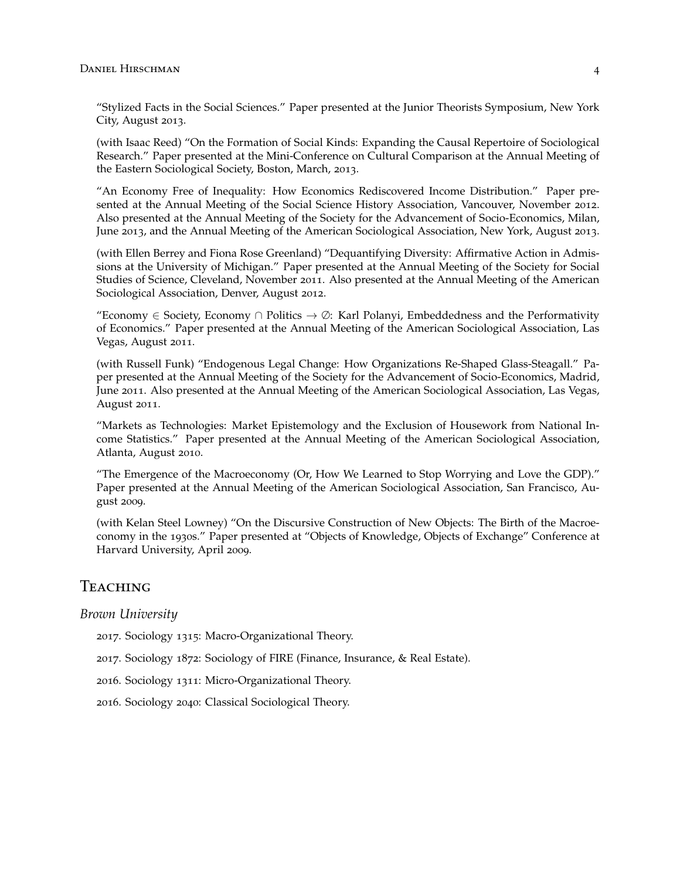"Stylized Facts in the Social Sciences." Paper presented at the Junior Theorists Symposium, New York City, August 2013.

(with Isaac Reed) "On the Formation of Social Kinds: Expanding the Causal Repertoire of Sociological Research." Paper presented at the Mini-Conference on Cultural Comparison at the Annual Meeting of the Eastern Sociological Society, Boston, March, 2013.

"An Economy Free of Inequality: How Economics Rediscovered Income Distribution." Paper presented at the Annual Meeting of the Social Science History Association, Vancouver, November 2012. Also presented at the Annual Meeting of the Society for the Advancement of Socio-Economics, Milan, June 2013, and the Annual Meeting of the American Sociological Association, New York, August 2013.

(with Ellen Berrey and Fiona Rose Greenland) "Dequantifying Diversity: Affirmative Action in Admissions at the University of Michigan." Paper presented at the Annual Meeting of the Society for Social Studies of Science, Cleveland, November 2011. Also presented at the Annual Meeting of the American Sociological Association, Denver, August 2012.

"Economy  $\in$  Society, Economy  $\cap$  Politics  $\rightarrow \emptyset$ : Karl Polanyi, Embeddedness and the Performativity of Economics." Paper presented at the Annual Meeting of the American Sociological Association, Las Vegas, August 2011.

(with Russell Funk) "Endogenous Legal Change: How Organizations Re-Shaped Glass-Steagall." Paper presented at the Annual Meeting of the Society for the Advancement of Socio-Economics, Madrid, June 2011. Also presented at the Annual Meeting of the American Sociological Association, Las Vegas, August 2011.

"Markets as Technologies: Market Epistemology and the Exclusion of Housework from National Income Statistics." Paper presented at the Annual Meeting of the American Sociological Association, Atlanta, August 2010.

"The Emergence of the Macroeconomy (Or, How We Learned to Stop Worrying and Love the GDP)." Paper presented at the Annual Meeting of the American Sociological Association, San Francisco, August 2009.

(with Kelan Steel Lowney) "On the Discursive Construction of New Objects: The Birth of the Macroeconomy in the 1930s." Paper presented at "Objects of Knowledge, Objects of Exchange" Conference at Harvard University, April 2009.

## Teaching

*Brown University*

2017. Sociology 1315: Macro-Organizational Theory.

2017. Sociology 1872: Sociology of FIRE (Finance, Insurance, & Real Estate).

2016. Sociology 1311: Micro-Organizational Theory.

2016. Sociology 2040: Classical Sociological Theory.